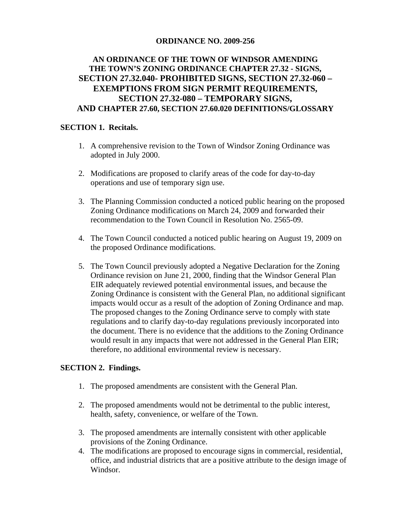## **ORDINANCE NO. 2009-256**

# **AN ORDINANCE OF THE TOWN OF WINDSOR AMENDING THE TOWN'S ZONING ORDINANCE CHAPTER 27.32 - SIGNS, SECTION 27.32.040- PROHIBITED SIGNS, SECTION 27.32-060 – EXEMPTIONS FROM SIGN PERMIT REQUIREMENTS, SECTION 27.32-080 – TEMPORARY SIGNS, AND CHAPTER 27.60, SECTION 27.60.020 DEFINITIONS/GLOSSARY**

## **SECTION 1. Recitals.**

- 1. A comprehensive revision to the Town of Windsor Zoning Ordinance was adopted in July 2000.
- 2. Modifications are proposed to clarify areas of the code for day-to-day operations and use of temporary sign use.
- 3. The Planning Commission conducted a noticed public hearing on the proposed Zoning Ordinance modifications on March 24, 2009 and forwarded their recommendation to the Town Council in Resolution No. 2565-09.
- 4. The Town Council conducted a noticed public hearing on August 19, 2009 on the proposed Ordinance modifications.
- 5. The Town Council previously adopted a Negative Declaration for the Zoning Ordinance revision on June 21, 2000, finding that the Windsor General Plan EIR adequately reviewed potential environmental issues, and because the Zoning Ordinance is consistent with the General Plan, no additional significant impacts would occur as a result of the adoption of Zoning Ordinance and map. The proposed changes to the Zoning Ordinance serve to comply with state regulations and to clarify day-to-day regulations previously incorporated into the document. There is no evidence that the additions to the Zoning Ordinance would result in any impacts that were not addressed in the General Plan EIR; therefore, no additional environmental review is necessary.

### **SECTION 2. Findings.**

- 1. The proposed amendments are consistent with the General Plan.
- 2. The proposed amendments would not be detrimental to the public interest, health, safety, convenience, or welfare of the Town.
- 3. The proposed amendments are internally consistent with other applicable provisions of the Zoning Ordinance.
- 4. The modifications are proposed to encourage signs in commercial, residential, office, and industrial districts that are a positive attribute to the design image of Windsor.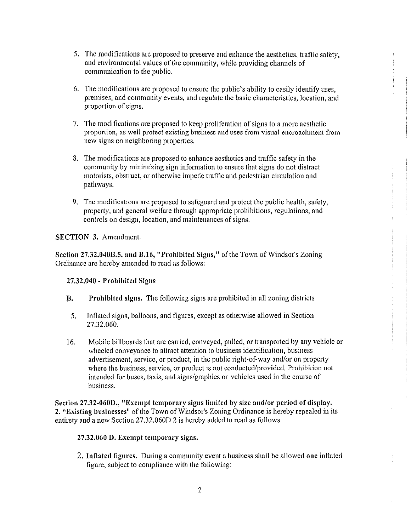- 5. The modifications are proposed to preserve and enhance the aesthetics, traffic safety, and environmental values of the community, while providing channels of communication to the public.
- 6. The modifications are proposed to ensure the public's ability to easily identify uses. premises, and community events, and regulate the basic characteristics, location, and proportion of signs.
- 7. The modifications are proposed to keep proliferation of signs to a more aesthetic proportion, as well protect existing business and uses from visual encroachment from new signs on neighboring properties.
- 8. The modifications are proposed to enhance aesthetics and traffic safety in the community by minimizing sign information to ensure that signs do not distract motorists, obstruct, or otherwise impede traffic and pedestrian circulation and pathways.
- 9. The modifications are proposed to safeguard and protect the public health, safety, property, and general welfare through appropriate prohibitions, regulations, and controls on design, location, and maintenances of signs.

**SECTION 3. Amendment.** 

Section 27.32.040B.5, and B.16, "Prohibited Signs," of the Town of Windsor's Zoning Ordinance are hereby amended to read as follows:

27,32,040 - Prohibited Signs

- **B.** Prohibited signs. The following signs are prohibited in all zoning districts
	- Inflated signs, balloons, and figures, except as otherwise allowed in Section  $5<sub>1</sub>$ 27.32.060.
- Mobile billboards that are carried, conveyed, pulled, or transported by any vehicle or  $16.$ wheeled conveyance to attract attention to business identification, business advertisement, service, or product, in the public right-of-way and/or on property where the business, service, or product is not conducted/provided. Prohibition not intended for buses, taxis, and signs/graphics on vehicles used in the course of business.

Section 27.32-060D., "Exempt temporary signs limited by size and/or period of display. 2. "Existing businesses" of the Town of Windsor's Zoning Ordinance is hereby repealed in its entirety and a new Section 27.32.060D.2 is hereby added to read as follows

### 27.32.060 D. Exempt temporary signs.

2. Inflated figures. During a community event a business shall be allowed one inflated figure, subject to compliance with the following: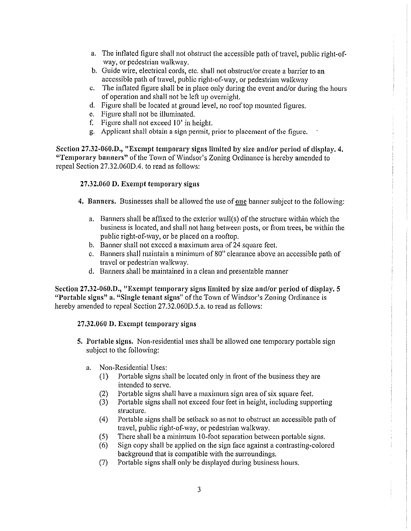- a. The inflated figure shall not obstruct the accessible path of travel, public right-ofway, or pedestrian walkway.
- b. Guide wire, electrical cords, etc. shall not obstruct/or create a barrier to an accessible path of travel, public right-of-way, or pedestrian walkway
- c. The inflated figure shall be in place only during the event and/or during the hours of operation and shall not be left up overnight.
- d. Figure shall be located at ground level, no roof top mounted figures.
- e. Figure shall not be illuminated.
- f. Figure shall not exceed 10' in height.
- g. Applicant shall obtain a sign permit, prior to placement of the figure.

Section 27.32-060.D., "Exempt temporary signs limited by size and/or period of display, 4. "Temporary banners" of the Town of Windsor's Zoning Ordinance is hereby amended to repeal Section 27.32.060D.4, to read as follows:

### 27.32.060 D. Exempt temporary signs

- 4. Banners. Businesses shall be allowed the use of one banner subject to the following:
	- a. Banners shall be affixed to the exterior wall(s) of the structure within which the business is located, and shall not hang between posts, or from trees, be within the public right-of-way, or be placed on a rooftop.
	- b. Banner shall not exceed a maximum area of 24 square feet.
	- c. Banners shall maintain a minimum of 80" clearance above an accessible path of travel or pedestrian walkway.
	- d. Banners shall be maintained in a clean and presentable manner

Section 27.32-060.D., "Exempt temporary signs limited by size and/or period of display, 5 "Portable signs" a. "Single tenant signs" of the Town of Windsor's Zoning Ordinance is hereby amended to repeal Section 27.32.060D.5.a. to read as follows:

### 27.32.060 D. Exempt temporary signs

- 5. Portable signs. Non-residential uses shall be allowed one temporary portable sign subject to the following:
	- Non-Residential Uses:  $a_{\cdot}$ 
		- Portable signs shall be located only in front of the business they are  $(1)$ intended to serve.
		- Portable signs shall have a maximum sign area of six square feet.  $(2)$
		- Portable signs shall not exceed four feet in height, including supporting  $(3)$ structure.
		- $(4)$ Portable signs shall be set back so as not to obstruct an accessible path of travel, public right-of-way, or pedestrian walkway.
		- There shall be a minimum 10-foot separation between portable signs.  $(5)$
		- Sign copy shall be applied on the sign face against a contrasting-colored  $(6)$ background that is compatible with the surroundings.
		- $(7)$ Portable signs shall only be displayed during business hours.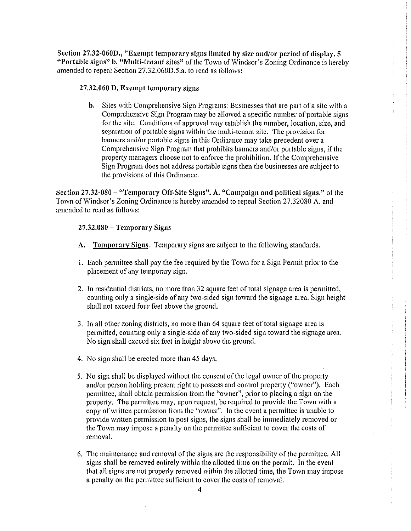Section 27.32-060D., "Exempt temporary signs limited by size and/or period of display, 5 "Portable signs" b. "Multi-tenant sites" of the Town of Windsor's Zoning Ordinance is hereby amended to repeal Section 27.32.060D.5.a. to read as follows:

#### 27.32.060 D. Exempt temporary signs

**b.** Sites with Comprehensive Sign Programs: Businesses that are part of a site with a Comprehensive Sign Program may be allowed a specific number of portable signs for the site. Conditions of approval may establish the number, location, size, and separation of portable signs within the multi-tenant site. The provision for banners and/or portable signs in this Ordinance may take precedent over a Comprehensive Sign Program that prohibits banners and/or portable signs, if the property managers choose not to enforce the prohibition. If the Comprehensive Sign Program does not address portable signs then the businesses are subject to the provisions of this Ordinance.

Section 27.32-080 – "Temporary Off-Site Signs", A. "Campaign and political signs." of the Town of Windsor's Zoning Ordinance is hereby amended to repeal Section 27.32080 A. and amended to read as follows:

#### $27.32.080 - Temporary Signs$

- A. Temporary Signs. Temporary signs are subject to the following standards.
- 1. Each permittee shall pay the fee required by the Town for a Sign Permit prior to the placement of any temporary sign.
- 2. In residential districts, no more than 32 square feet of total signage area is permitted, counting only a single-side of any two-sided sign toward the signage area. Sign height shall not exceed four feet above the ground.
- 3. In all other zoning districts, no more than 64 square feet of total signage area is permitted, counting only a single-side of any two-sided sign toward the signage area. No sign shall exceed six feet in height above the ground.
- 4. No sign shall be erected more than 45 days.
- 5. No sign shall be displayed without the consent of the legal owner of the property and/or person holding present right to possess and control property ("owner"). Each permittee, shall obtain permission from the "owner", prior to placing a sign on the property. The permittee may, upon request, be required to provide the Town with a copy of written permission from the "owner". In the event a permittee is unable to provide written permission to post signs, the signs shall be immediately removed or the Town may impose a penalty on the permittee sufficient to cover the costs of removal.
- 6. The maintenance and removal of the signs are the responsibility of the permittee. All signs shall be removed entirely within the allotted time on the permit. In the event that all signs are not properly removed within the allotted time, the Town may impose a penalty on the permittee sufficient to cover the costs of removal.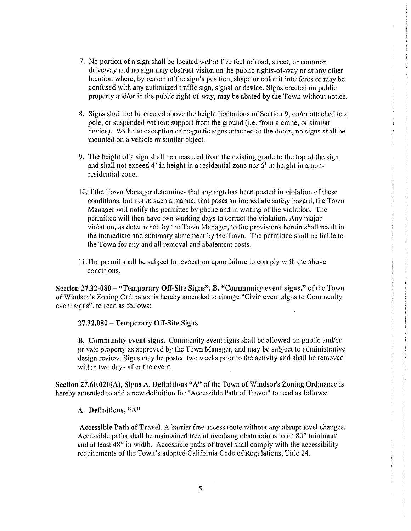- 7. No portion of a sign shall be located within five feet of road, street, or common driveway and no sign may obstruct vision on the public rights-of-way or at any other location where, by reason of the sign's position, shape or color it interferes or may be confused with any authorized traffic sign, signal or device. Signs erected on public property and/or in the public right-of-way, may be abated by the Town without notice.
- 8. Signs shall not be erected above the height limitations of Section 9, on/or attached to a pole, or suspended without support from the ground (i.e. from a crane, or similar device). With the exception of magnetic signs attached to the doors, no signs shall be mounted on a vehicle or similar object.
- 9. The height of a sign shall be measured from the existing grade to the top of the sign and shall not exceed 4' in height in a residential zone nor 6' in height in a nonresidential zone.
- 10. If the Town Manager determines that any sign has been posted in violation of these conditions, but not in such a manner that poses an immediate safety hazard, the Town Manager will notify the permittee by phone and in writing of the violation. The permittee will then have two working days to correct the violation. Any major violation, as determined by the Town Manager, to the provisions herein shall result in the immediate and summary abatement by the Town. The permittee shall be liable to the Town for any and all removal and abatement costs.
- 11. The permit shall be subject to revocation upon failure to comply with the above conditions.

Section 27.32-080 - "Temporary Off-Site Signs". B. "Community event signs." of the Town of Windsor's Zoning Ordinance is hereby amended to change "Civic event signs to Community" event signs". to read as follows:

27.32.080 - Temporary Off-Site Signs

**B.** Community event signs. Community event signs shall be allowed on public and/or private property as approved by the Town Manager, and may be subject to administrative design review. Signs may be posted two weeks prior to the activity and shall be removed within two days after the event.

Section 27,60,020(A), Signs A. Definitions "A" of the Town of Windsor's Zoning Ordinance is hereby amended to add a new definition for "Accessible Path of Travel" to read as follows:

#### A. Definitions. "A"

Accessible Path of Travel. A barrier free access route without any abrupt level changes. Accessible paths shall be maintained free of overhang obstructions to an 80" minimum and at least 48" in width. Accessible paths of travel shall comply with the accessibility requirements of the Town's adopted California Code of Regulations, Title 24.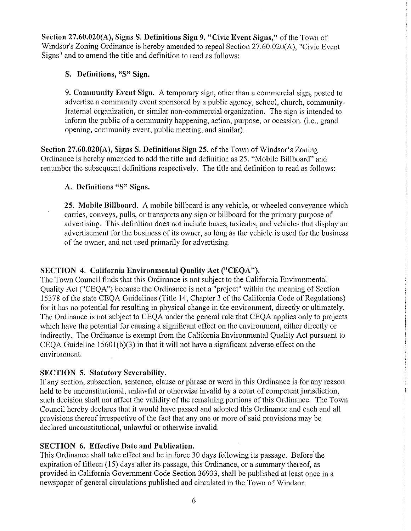Section 27.60.020(A), Signs S. Definitions Sign 9. "Civic Event Signs," of the Town of Windsor's Zoning Ordinance is hereby amended to repeal Section 27.60.020(A), "Civic Event Signs" and to amend the title and definition to read as follows:

## S. Definitions, "S" Sign.

9. Community Event Sign. A temporary sign, other than a commercial sign, posted to advertise a community event sponsored by a public agency, school, church, communityfraternal organization, or similar non-commercial organization. The sign is intended to inform the public of a community happening, action, purpose, or occasion, (i.e., grand opening, community event, public meeting, and similar).

Section 27.60.020(A), Signs S. Definitions Sign 25. of the Town of Windsor's Zoning Ordinance is hereby amended to add the title and definition as 25. "Mobile Billboard" and renumber the subsequent definitions respectively. The title and definition to read as follows:

## A. Definitions "S" Signs.

25. Mobile Billboard. A mobile billboard is any vehicle, or wheeled conveyance which carries, conveys, pulls, or transports any sign or billboard for the primary purpose of advertising. This definition does not include buses, taxicabs, and vehicles that display an advertisement for the business of its owner, so long as the vehicle is used for the business of the owner, and not used primarily for advertising.

## SECTION 4. California Environmental Ouality Act ("CEOA").

The Town Council finds that this Ordinance is not subject to the California Environmental Quality Act ("CEQA") because the Ordinance is not a "project" within the meaning of Section 15378 of the state CEQA Guidelines (Title 14, Chapter 3 of the California Code of Regulations) for it has no potential for resulting in physical change in the environment, directly or ultimately. The Ordinance is not subject to CEQA under the general rule that CEQA applies only to projects which have the potential for causing a significant effect on the environment, either directly or indirectly. The Ordinance is exempt from the California Environmental Quality Act pursuant to CEOA Guideline  $15601(b)(3)$  in that it will not have a significant adverse effect on the environment.

## **SECTION 5. Statutory Severability.**

If any section, subsection, sentence, clause or phrase or word in this Ordinance is for any reason held to be unconstitutional, unlawful or otherwise invalid by a court of competent jurisdiction, such decision shall not affect the validity of the remaining portions of this Ordinance. The Town Council hereby declares that it would have passed and adopted this Ordinance and each and all provisions thereof irrespective of the fact that any one or more of said provisions may be declared unconstitutional, unlawful or otherwise invalid.

# **SECTION 6. Effective Date and Publication.**

This Ordinance shall take effect and be in force 30 days following its passage. Before the expiration of fifteen (15) days after its passage, this Ordinance, or a summary thereof, as provided in California Government Code Section 36933, shall be published at least once in a newspaper of general circulations published and circulated in the Town of Windsor.